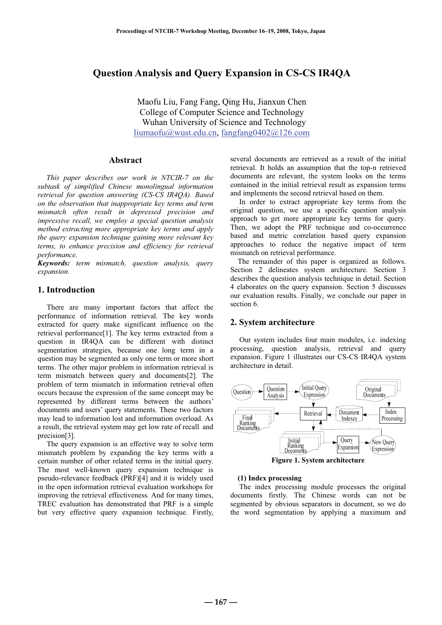# **Question Analysis and Query Expansion in CS-CS IR4QA**

Maofu Liu, Fang Fang, Qing Hu, Jianxun Chen College of Computer Science and Technology Wuhan University of Science and Technology liumaofu@wust.edu.cn, fangfang0402@126.com

## **Abstract**

*This paper describes our work in NTCIR-7 on the subtask of simplified Chinese monolingual information retrieval for question answering (CS-CS IR4QA). Based on the observation that inappropriate key terms and term mismatch often result in depressed precision and impressive recall, we employ a special question analysis method extracting more appropriate key terms and apply the query expansion technique gaining more relevant key terms, to enhance precision and efficiency for retrieval performance.* 

*Keywords: term mismatch, question analysis, query expansion.* 

## **1. Introduction**

There are many important factors that affect the performance of information retrieval. The key words extracted for query make significant influence on the retrieval performance[1]. The key terms extracted from a question in IR4QA can be different with distinct segmentation strategies, because one long term in a question may be segmented as only one term or more short terms. The other major problem in information retrieval is term mismatch between query and documents[2]. The problem of term mismatch in information retrieval often occurs because the expression of the same concept may be represented by different terms between the authors' documents and users' query statements. These two factors may lead to information lost and information overload. As a result, the retrieval system may get low rate of recall and precision[3].

The query expansion is an effective way to solve term mismatch problem by expanding the key terms with a certain number of other related terms in the initial query. The most well-known query expansion technique is pseudo-relevance feedback (PRF)[4] and it is widely used in the open information retrieval evaluation workshops for improving the retrieval effectiveness. And for many times, TREC evaluation has demonstrated that PRF is a simple but very effective query expansion technique. Firstly,

several documents are retrieved as a result of the initial retrieval. It holds an assumption that the top-n retrieved documents are relevant, the system looks on the terms contained in the initial retrieval result as expansion terms and implements the second retrieval based on them.

In order to extract appropriate key terms from the original question, we use a specific question analysis approach to get more appropriate key terms for query. Then, we adopt the PRF technique and co-occurrence based and metric correlation based query expansion approaches to reduce the negative impact of term mismatch on retrieval performance.

The remainder of this paper is organized as follows. Section 2 delineates system architecture. Section 3 describes the question analysis technique in detail. Section 4 elaborates on the query expansion. Section 5 discusses our evaluation results. Finally, we conclude our paper in section 6.

#### **2. System architecture**

Our system includes four main modules, i.e. indexing processing, question analysis, retrieval and query expansion. Figure 1 illustrates our CS-CS IR4QA system architecture in detail.



**Figure 1. System architecture** 

#### **(1) Index processing**

The index processing module processes the original documents firstly. The Chinese words can not be segmented by obvious separators in document, so we do the word segmentation by applying a maximum and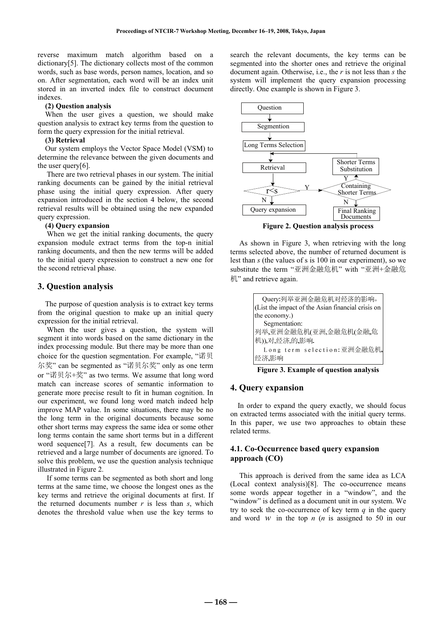reverse maximum match algorithm based on a dictionary[5]. The dictionary collects most of the common words, such as base words, person names, location, and so on. After segmentation, each word will be an index unit stored in an inverted index file to construct document indexes.

#### **(2) Question analysis**

When the user gives a question, we should make question analysis to extract key terms from the question to form the query expression for the initial retrieval.

#### **(3) Retrieval**

Our system employs the Vector Space Model (VSM) to determine the relevance between the given documents and the user query[6].

There are two retrieval phases in our system. The initial ranking documents can be gained by the initial retrieval phase using the initial query expression. After query expansion introduced in the section 4 below, the second retrieval results will be obtained using the new expanded query expression.

#### **(4) Query expansion**

When we get the initial ranking documents, the query expansion module extract terms from the top-n initial ranking documents, and then the new terms will be added to the initial query expression to construct a new one for the second retrieval phase.

### **3. Question analysis**

The purpose of question analysis is to extract key terms from the original question to make up an initial query expression for the initial retrieval.

When the user gives a question, the system will segment it into words based on the same dictionary in the index processing module. But there may be more than one choice for the question segmentation. For example, "诺贝 尔奖" can be segmented as "诺贝尔奖" only as one term or "诺贝尔+奖" as two terms. We assume that long word match can increase scores of semantic information to generate more precise result to fit in human cognition. In our experiment, we found long word match indeed help improve MAP value. In some situations, there may be no the long term in the original documents because some other short terms may express the same idea or some other long terms contain the same short terms but in a different word sequence[7]. As a result, few documents can be retrieved and a large number of documents are ignored. To solve this problem, we use the question analysis technique illustrated in Figure 2.

If some terms can be segmented as both short and long terms at the same time, we choose the longest ones as the key terms and retrieve the original documents at first. If the returned documents number  $r$  is less than  $s$ , which denotes the threshold value when use the key terms to

search the relevant documents, the key terms can be segmented into the shorter ones and retrieve the original document again. Otherwise, i.e., the *r* is not less than *s* the system will implement the query expansion processing directly. One example is shown in Figure 3.



**Figure 2. Question analysis process** 

As shown in Figure 3, when retrieving with the long terms selected above, the number of returned document is lest than *s* (the values of s is 100 in our experiment), so we substitute the term "亚洲金融危机" with "亚洲+金融危 机" and retrieve again.

| Query:列举亚洲金融危机对经济的影响。                             |
|---------------------------------------------------|
| (List the impact of the Asian financial crisis on |
| the economy.)                                     |
| Segmentation:                                     |
| 列举,亚洲金融危机(亚洲,金融危机(金融,危                            |
| 机)),对,经济,的,影响.                                    |
| Long term selection:亚洲金融危机,                       |
| 经济,影响                                             |

#### **Figure 3. Example of question analysis**

## **4. Query expansion**

In order to expand the query exactly, we should focus on extracted terms associated with the initial query terms. In this paper, we use two approaches to obtain these related terms.

## **4.1. Co-Occurrence based query expansion approach (CO)**

This approach is derived from the same idea as LCA (Local context analysis)[8]. The co-occurrence means some words appear together in a "window", and the "window" is defined as a document unit in our system. We try to seek the co-occurrence of key term *q* in the query and word *w* in the top *n* (*n* is assigned to 50 in our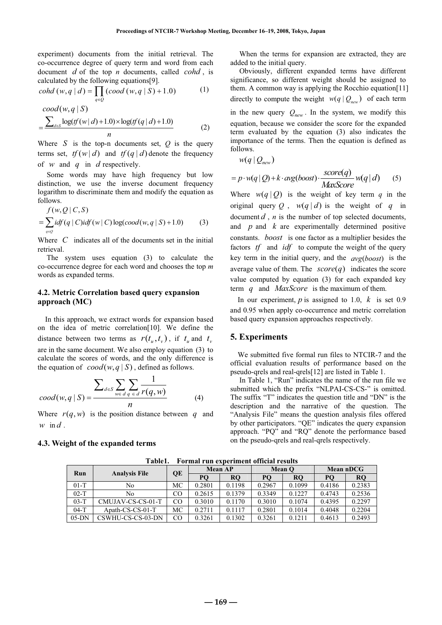experiment) documents from the initial retrieval. The co-occurrence degree of query term and word from each document *d* of the top *n* documents, called *cohd* , is calculated by the following equations[9].

$$
cohd(w, q | d) = \prod_{q \in Q} (cood(w, q | S) + 1.0)
$$
 (1)

$$
\begin{aligned} \frac{\text{cool}(w, q \mid S)}{\sum_{d \in S} \log(f(w \mid d) + 1.0) \times \log(f(q \mid d) + 1.0)} \\ &= \frac{\sum_{d \in S} \log(f(w \mid d) + 1.0) \times \log(f(q \mid d) + 1.0)}{n} \end{aligned} \tag{2}
$$

Where  $S$  is the top-n documents set,  $Q$  is the query terms set,  $tf(w|d)$  and  $tf(q|d)$  denote the frequency of *w* and *q* in *d* respectively.

Some words may have high frequency but low distinction, we use the inverse document frequency logarithm to discriminate them and modify the equation as follows.

$$
f(w,Q | C, S) = \sum_{q \in Q} idf(q | C) idf(w | C) \log(cood(w,q | S) + 1.0)
$$
 (3)

Where *C* indicates all of the documents set in the initial retrieval.

The system uses equation (3) to calculate the co-occurrence degree for each word and chooses the top *m* words as expanded terms.

## **4.2. Metric Correlation based query expansion approach (MC)**

In this approach, we extract words for expansion based on the idea of metric correlation[10]. We define the distance between two terms as  $r(t_{u}, t_{v})$ , if  $t_{u}$  and  $t_{v}$ are in the same document. We also employ equation (3) to calculate the scores of words, and the only difference is the equation of  $\operatorname{cood}(w, q \mid S)$ , defined as follows.

$$
cod(w, q \mid S) = \frac{\sum_{d \in S} \sum_{w \in d} \sum_{q \in d} \frac{1}{r(q, w)}}{n}
$$
(4)

Where  $r(q, w)$  is the position distance between q and  $w$  in  $d$ .

#### **4.3. Weight of the expanded terms**

When the terms for expansion are extracted, they are added to the initial query.

Obviously, different expanded terms have different significance, so different weight should be assigned to them. A common way is applying the Rocchio equation[11] directly to compute the weight  $w(q | Q_{new})$  of each term in the new query  $Q_{new}$ . In the system, we modify this equation, because we consider the score for the expanded term evaluated by the equation (3) also indicates the importance of the terms. Then the equation is defined as follows.

$$
w(q \,|\, Q_{new})
$$

$$
= p \cdot w(q \mid Q) + k \cdot \arg(bost) \cdot \frac{score(q)}{MaxScore} w(q \mid d) \qquad (5)
$$

Where  $w(q | Q)$  is the weight of key term q in the original query Q,  $w(q|d)$  is the weight of q in document  $d$ ,  $n$  is the number of top selected documents, and *p* and *k* are experimentally determined positive constants. *boost* is one factor as a multiplier besides the factors *tf* and *idf* to compute the weight of the query key term in the initial query, and the  $avg(bost)$  is the average value of them. The  $score(q)$  indicates the score value computed by equation (3) for each expanded key term *q* and *MaxScore* is the maximum of them.

In our experiment, *p* is assigned to 1.0, *k* is set 0.9 and 0.95 when apply co-occurrence and metric correlation based query expansion approaches respectively.

## **5. Experiments**

We submitted five formal run files to NTCIR-7 and the official evaluation results of performance based on the pseudo-qrels and real-qrels[12] are listed in Table 1.

In Table 1, "Run" indicates the name of the run file we submitted which the prefix "NLPAI-CS-CS-" is omitted. The suffix "T" indicates the question title and "DN" is the description and the narrative of the question. The "Analysis File" means the question analysis files offered by other participators. "QE" indicates the query expansion approach. "PQ" and "RQ" denote the performance based on the pseudo-qrels and real-qrels respectively.

| Run     | <b>Analysis File</b> | QE | <b>Mean AP</b> |           | Mean O |           | Mean nDCG |           |
|---------|----------------------|----|----------------|-----------|--------|-----------|-----------|-----------|
|         |                      |    | PO             | <b>RO</b> | PО     | <b>RO</b> | PО        | <b>RO</b> |
| $01-T$  | No                   | МC | 0.2801         | 0.1198    | 0.2967 | 0.1099    | 0.4186    | 0.2383    |
| $02-T$  | No                   | CO | 0.2615         | 0.1379    | 0.3349 | 0.1227    | 0.4743    | 0.2536    |
| $03-T$  | CMUJAV-CS-CS-01-T    | CO | 0.3010         | 0.1170    | 0.3010 | 0.1074    | 0.4395    | 0.2297    |
| $04-T$  | $A$ path-CS-CS-01-T  | МC | 0.2711         | 0.1117    | 0.2801 | 0.1014    | 0.4048    | 0.2204    |
| $05-DN$ | CSWHU-CS-CS-03-DN    | CO | 0.3261         | 0.1302    | 0.3261 | 0.1211    | 0.4613    | 0.2493    |

**Table1. Formal run experiment official results**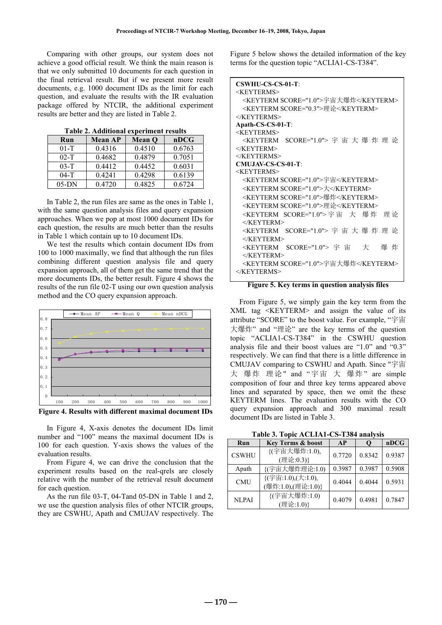Comparing with other groups, our system does not achieve a good official result. We think the main reason is that we only submitted 10 documents for each question in the final retrieval result. But if we present more result documents, e.g. 1000 document IDs as the limit for each question, and evaluate the results with the IR evaluation package offered by NTCIR, the additional experiment results are better and they are listed in Table 2.

| Run      | <b>Mean AP</b> | <b>Mean O</b> | nDCG   |
|----------|----------------|---------------|--------|
| $01 - T$ | 0.4316         | 0.4510        | 0.6763 |
| $02 - T$ | 0.4682         | 0.4879        | 0.7051 |
| $03 - T$ | 0.4412         | 0.4452        | 0.6031 |
| $04-T$   | 0.4241         | 0.4298        | 0.6139 |
| $05-DN$  | 0.4720         | 0.4825        | 0.6724 |

**Table 2. Additional experiment results** 

In Table 2, the run files are same as the ones in Table 1, with the same question analysis files and query expansion approaches. When we pop at most 1000 document IDs for each question, the results are much better than the results in Table 1 which contain up to 10 document IDs.

We test the results which contain document IDs from 100 to 1000 maximally, we find that although the run files combining different question analysis file and query expansion approach, all of them get the same trend that the more documents IDs, the better result. Figure 4 shows the results of the run file 02-T using our own question analysis method and the CO query expansion approach.



**Figure 4. Results with different maximal document IDs** 

In Figure 4, X-axis denotes the document IDs limit number and "100" means the maximal document IDs is 100 for each question. Y-axis shows the values of the evaluation results.

From Figure 4, we can drive the conclusion that the experiment results based on the real-qrels are closely relative with the number of the retrieval result document for each question.

As the run file 03-T, 04-Tand 05-DN in Table 1 and 2, we use the question analysis files of other NTCIR groups, they are CSWHU, Apath and CMUJAV respectively. The Figure 5 below shows the detailed information of the key terms for the question topic "ACLIA1-CS-T384".

| <b>CSWHU-CS-CS-01-T:</b>                             |
|------------------------------------------------------|
| <keyterms></keyterms>                                |
| <keyterm score="1.0">宇宙大爆炸</keyterm>                 |
| <keyterm score="0.3">理论</keyterm>                    |
| $<$ /KEYTERMS>                                       |
| Apath-CS-CS-01-T:                                    |
| $<$ KEYTERMS>                                        |
| <keyterm score="1.0"> 字 宙 大 爆 炸 理 论</keyterm>        |
| $<$ /KEYTERM>                                        |
| $<$ /KEYTERMS>                                       |
| <b>CMUJAV-CS-CS-01-T:</b>                            |
| <keyterms></keyterms>                                |
| <keyterm score="1.0">宇宙</keyterm>                    |
| <keyterm score="1.0">大</keyterm>                     |
| <keyterm score="1.0">爆炸</keyterm>                    |
| <keyterm score="1.0">理论</keyterm>                    |
| <keyterm score="1.0"> 宇 宙 大<br/>爆炸<br/>理 论</keyterm> |
| $\langle$ KEYTERM>                                   |
| <keyterm score="1.0"> 字 宙 大 爆 炸 理 论</keyterm>        |
| $<$ /KEYTERM>                                        |
| <keyterm score="1.0"> 宇 宙<br/>大<br/>爆 炸</keyterm>    |
| $<$ /KEYTERM>                                        |
| <keyterm score="1.0">宇宙大爆炸</keyterm>                 |
| $\langle$ KEYTERMS>                                  |
|                                                      |

**Figure 5. Key terms in question analysis files** 

From Figure 5, we simply gain the key term from the XML tag <KEYTERM> and assign the value of its attribute "SCORE" to the boost value. For example, "宇宙 大爆炸" and "理论" are the key terms of the question topic "ACLIA1-CS-T384" in the CSWHU question analysis file and their boost values are "1.0" and "0.3" respectively. We can find that there is a little difference in CMUJAV comparing to CSWHU and Apath. Since "宇宙 大 爆炸 理论" and "宇宙 大 爆炸" are simple composition of four and three key terms appeared above lines and separated by space, then we omit the these KEYTERM lines. The evaluation results with the CO query expansion approach and 300 maximal result document IDs are listed in Table 3.

**Table 3. Topic ACLIA1-CS-T384 analysis** 

| TWOICE, TODICITOLITTI CO TUOT MINITOR |                                          |        |        |        |  |
|---------------------------------------|------------------------------------------|--------|--------|--------|--|
| <b>Key Terms &amp; boost</b><br>Run   |                                          | AP     |        | nDCG   |  |
| <b>CSWHU</b>                          | {(宇宙大爆炸:1.0),<br>(理论:0.3)}               | 0.7720 | 0.8342 | 0.9387 |  |
| Apath                                 | {(宇宙大爆炸理论:1.0)                           | 0.3987 | 0.3987 | 0.5908 |  |
| <b>CMU</b>                            | {(宇宙:1.0),(大:1.0),<br>(爆炸:1.0),(理论:1.0)} | 0.4044 | 0.4044 | 0.5931 |  |
| <b>NLPAI</b>                          | {(宇宙大爆炸:1.0)<br>(理论:1.0)}                | 0.4079 | 0.4981 | 0.7847 |  |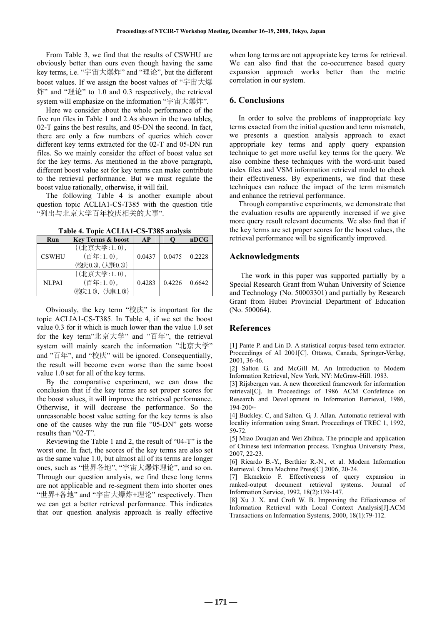From Table 3, we find that the results of CSWHU are obviously better than ours even though having the same key terms, i.e. "宇宙大爆炸" and "理论", but the different boost values. If we assign the boost values of "宇宙大爆 炸" and "理论" to 1.0 and 0.3 respectively, the retrieval system will emphasize on the information "宇宙大爆炸".

Here we consider about the whole performance of the five run files in Table 1 and 2.As shown in the two tables, 02-T gains the best results, and 05-DN the second. In fact, there are only a few numbers of queries which cover different key terms extracted for the 02-T and 05-DN run files. So we mainly consider the effect of boost value set for the key terms. As mentioned in the above paragraph, different boost value set for key terms can make contribute to the retrieval performance. But we must regulate the boost value rationally, otherwise, it will fail.

The following Table 4 is another example about question topic ACLIA1-CS-T385 with the question title "列出与北京大学百年校庆相关的大事".

**Table 4. Topic ACLIA1-CS-T385 analysis** 

| Run          | <b>Key Terms &amp; boost</b> | <b>AP</b> |        | nDCG   |
|--------------|------------------------------|-----------|--------|--------|
| <b>CSWHU</b> | {(北京大学:1.0),                 |           |        |        |
|              | (百年:1.0),                    | 0.0437    | 0.0475 | 0.2228 |
|              | (校庆0.3), (大事.0.3)            |           |        |        |
|              | {(北京大学:1.0),                 |           |        |        |
| <b>NLPAI</b> | $($ 百年:1.0),                 | 0.4283    | 0.4226 | 0.6642 |
|              | (校庆1.0), (大事:1.0)}           |           |        |        |

Obviously, the key term "校庆" is important for the topic ACLIA1-CS-T385. In Table 4, if we set the boost value 0.3 for it which is much lower than the value 1.0 set for the key term"北京大学" and "百年", the retrieval system will mainly search the information "北京大学" and "百年", and "校庆" will be ignored. Consequentially, the result will become even worse than the same boost value 1.0 set for all of the key terms.

By the comparative experiment, we can draw the conclusion that if the key terms are set proper scores for the boost values, it will improve the retrieval performance. Otherwise, it will decrease the performance. So the unreasonable boost value setting for the key terms is also one of the causes why the run file "05-DN" gets worse results than "02-T".

Reviewing the Table 1 and 2, the result of "04-T" is the worst one. In fact, the scores of the key terms are also set as the same value 1.0, but almost all of its terms are longer ones, such as "世界各地", "宇宙大爆炸理论", and so on. Through our question analysis, we find these long terms are not applicable and re-segment them into shorter ones "世界+各地" and "宇宙大爆炸+理论" respectively. Then we can get a better retrieval performance. This indicates that our question analysis approach is really effective

when long terms are not appropriate key terms for retrieval. We can also find that the co-occurrence based query expansion approach works better than the metric correlation in our system.

### **6. Conclusions**

In order to solve the problems of inappropriate key terms exacted from the initial question and term mismatch, we presents a question analysis approach to exact appropriate key terms and apply query expansion technique to get more useful key terms for the query. We also combine these techniques with the word-unit based index files and VSM information retrieval model to check their effectiveness. By experiments, we find that these techniques can reduce the impact of the term mismatch and enhance the retrieval performance.

Through comparative experiments, we demonstrate that the evaluation results are apparently increased if we give more query result relevant documents. We also find that if the key terms are set proper scores for the boost values, the retrieval performance will be significantly improved.

## **Acknowledgments**

The work in this paper was supported partially by a Special Research Grant from Wuhan University of Science and Technology (No. 50003301) and partially by Research Grant from Hubei Provincial Department of Education (No. 500064).

#### **References**

[1] Pante P. and Lin D. A statistical corpus-based term extractor. Proceedings of AI 2001[C]. Ottawa, Canada, Springer-Verlag, 2001, 36-46.

[2] Salton G. and McGill M. An Introduction to Modern Information Retrieval, New York, NY: McGraw-Hill. 1983.

[3] Rijsbergen van. A new theoretical framework for information retrieval[C]. In Proceedings of 1986 ACM Confefence on Research and Deve1opment in Information Retrieval, 1986,  $194 - 200$ 

[4] Buckley. C, and Salton. G, J. Allan. Automatic retrieval with locality information using Smart. Proceedings of TREC 1, 1992, 59-72.

[5] Miao Douqian and Wei Zhihua. The principle and application of Chinese text information process. Tsinghua University Press, 2007, 22-23.

[6] Ricardo B.-Y., Berthier R.-N., et al. Modern Information Retrieval. China Machine Press[C] 2006, 20-24.

[7] Ekmekcio F. Effectiveness of query expansion in ranked-output document retrieval systems. Journal of Information Service, 1992, 18(2):139-147.

[8] Xu J. X. and Croft W. B. Improving the Effectiveness of Information Retrieval with Local Context Analysis[J].ACM Transactions on Information Systems, 2000, 18(1):79-112.